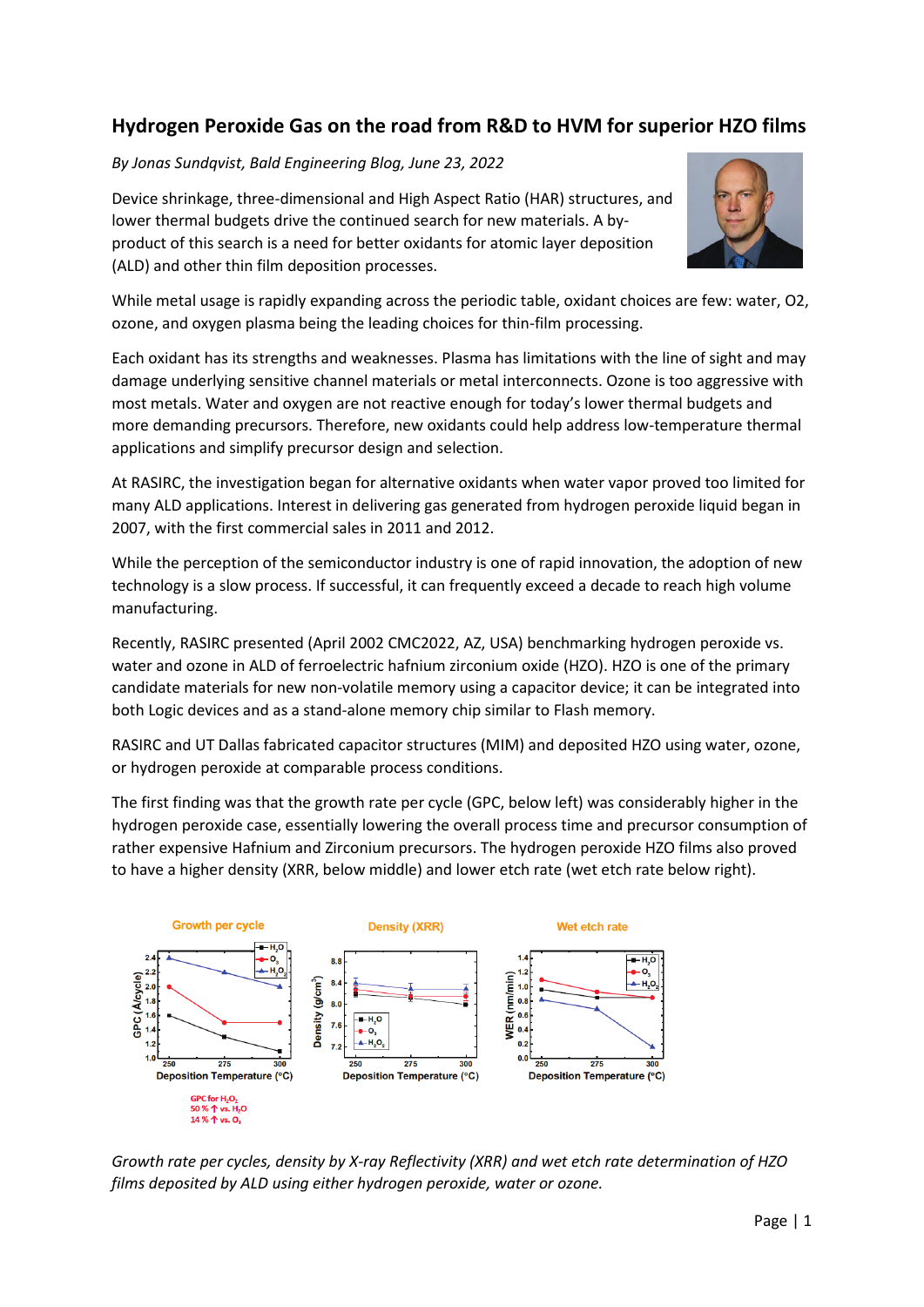## **Hydrogen Peroxide Gas on the road from R&D to HVM for superior HZO films**

*By Jonas Sundqvist, Bald Engineering Blog, June 23, 2022*

Device shrinkage, three-dimensional and High Aspect Ratio (HAR) structures, and lower thermal budgets drive the continued search for new materials. A byproduct of this search is a need for better oxidants for atomic layer deposition (ALD) and other thin film deposition processes.



While metal usage is rapidly expanding across the periodic table, oxidant choices are few: water, O2, ozone, and oxygen plasma being the leading choices for thin-film processing.

Each oxidant has its strengths and weaknesses. Plasma has limitations with the line of sight and may damage underlying sensitive channel materials or metal interconnects. Ozone is too aggressive with most metals. Water and oxygen are not reactive enough for today's lower thermal budgets and more demanding precursors. Therefore, new oxidants could help address low-temperature thermal applications and simplify precursor design and selection.

At RASIRC, the investigation began for alternative oxidants when water vapor proved too limited for many ALD applications. Interest in delivering gas generated from hydrogen peroxide liquid began in 2007, with the first commercial sales in 2011 and 2012.

While the perception of the semiconductor industry is one of rapid innovation, the adoption of new technology is a slow process. If successful, it can frequently exceed a decade to reach high volume manufacturing.

Recently, RASIRC presented (April 2002 CMC2022, AZ, USA) benchmarking hydrogen peroxide vs. water and ozone in ALD of ferroelectric hafnium zirconium oxide (HZO). HZO is one of the primary candidate materials for new non-volatile memory using a capacitor device; it can be integrated into both Logic devices and as a stand-alone memory chip similar to Flash memory.

RASIRC and UT Dallas fabricated capacitor structures (MIM) and deposited HZO using water, ozone, or hydrogen peroxide at comparable process conditions.

The first finding was that the growth rate per cycle (GPC, below left) was considerably higher in the hydrogen peroxide case, essentially lowering the overall process time and precursor consumption of rather expensive Hafnium and Zirconium precursors. The hydrogen peroxide HZO films also proved to have a higher density (XRR, below middle) and lower etch rate (wet etch rate below right).



*Growth rate per cycles, density by X-ray Reflectivity (XRR) and wet etch rate determination of HZO films deposited by ALD using either hydrogen peroxide, water or ozone.*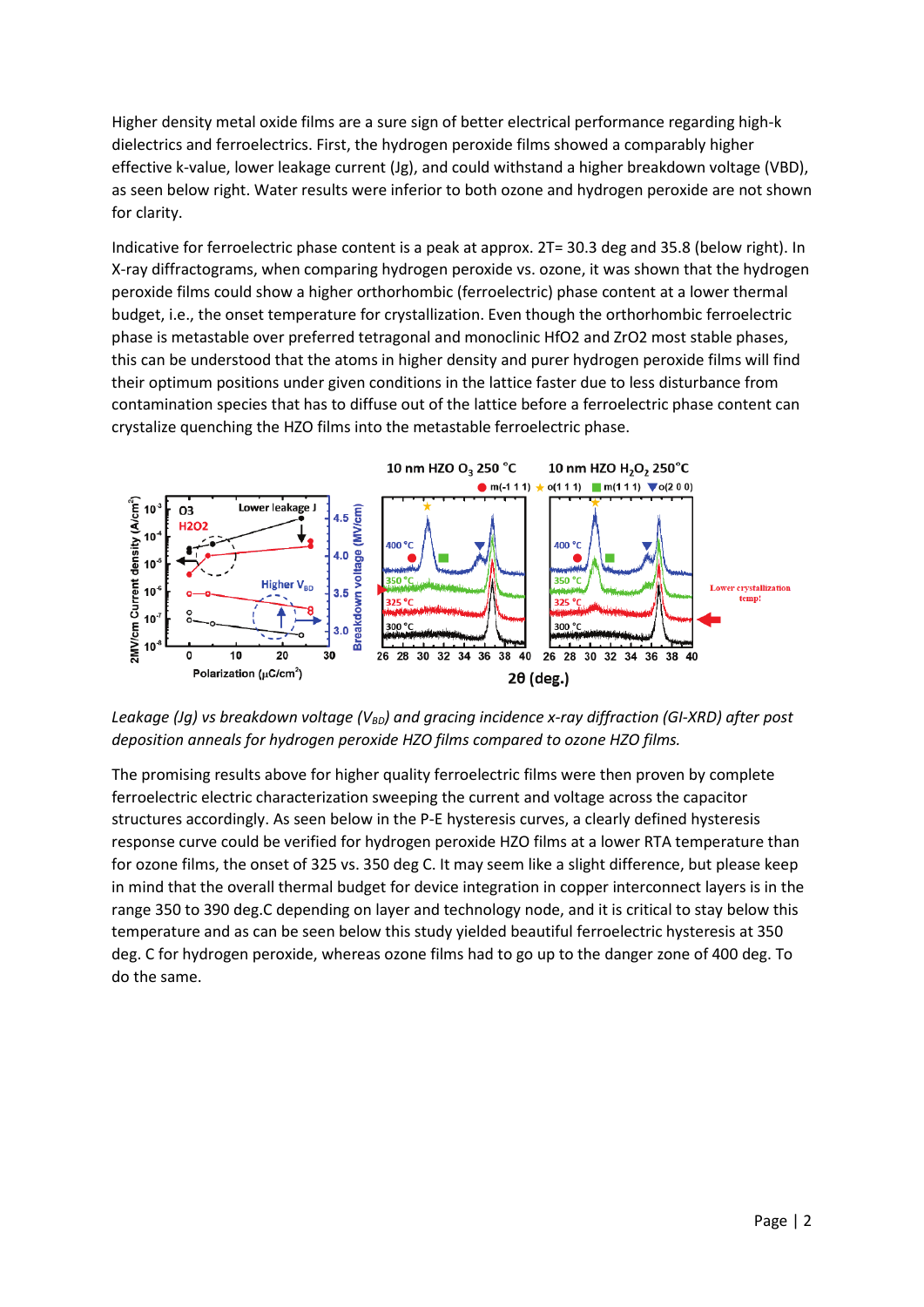Higher density metal oxide films are a sure sign of better electrical performance regarding high-k dielectrics and ferroelectrics. First, the hydrogen peroxide films showed a comparably higher effective k-value, lower leakage current (Jg), and could withstand a higher breakdown voltage (VBD), as seen below right. Water results were inferior to both ozone and hydrogen peroxide are not shown for clarity.

Indicative for ferroelectric phase content is a peak at approx. 2T= 30.3 deg and 35.8 (below right). In X-ray diffractograms, when comparing hydrogen peroxide vs. ozone, it was shown that the hydrogen peroxide films could show a higher orthorhombic (ferroelectric) phase content at a lower thermal budget, i.e., the onset temperature for crystallization. Even though the orthorhombic ferroelectric phase is metastable over preferred tetragonal and monoclinic HfO2 and ZrO2 most stable phases, this can be understood that the atoms in higher density and purer hydrogen peroxide films will find their optimum positions under given conditions in the lattice faster due to less disturbance from contamination species that has to diffuse out of the lattice before a ferroelectric phase content can crystalize quenching the HZO films into the metastable ferroelectric phase.



*Leakage (Jg) vs breakdown voltage (V<sub>BD</sub>) and gracing incidence x-ray diffraction (GI-XRD) after post deposition anneals for hydrogen peroxide HZO films compared to ozone HZO films.*

The promising results above for higher quality ferroelectric films were then proven by complete ferroelectric electric characterization sweeping the current and voltage across the capacitor structures accordingly. As seen below in the P-E hysteresis curves, a clearly defined hysteresis response curve could be verified for hydrogen peroxide HZO films at a lower RTA temperature than for ozone films, the onset of 325 vs. 350 deg C. It may seem like a slight difference, but please keep in mind that the overall thermal budget for device integration in copper interconnect layers is in the range 350 to 390 deg.C depending on layer and technology node, and it is critical to stay below this temperature and as can be seen below this study yielded beautiful ferroelectric hysteresis at 350 deg. C for hydrogen peroxide, whereas ozone films had to go up to the danger zone of 400 deg. To do the same.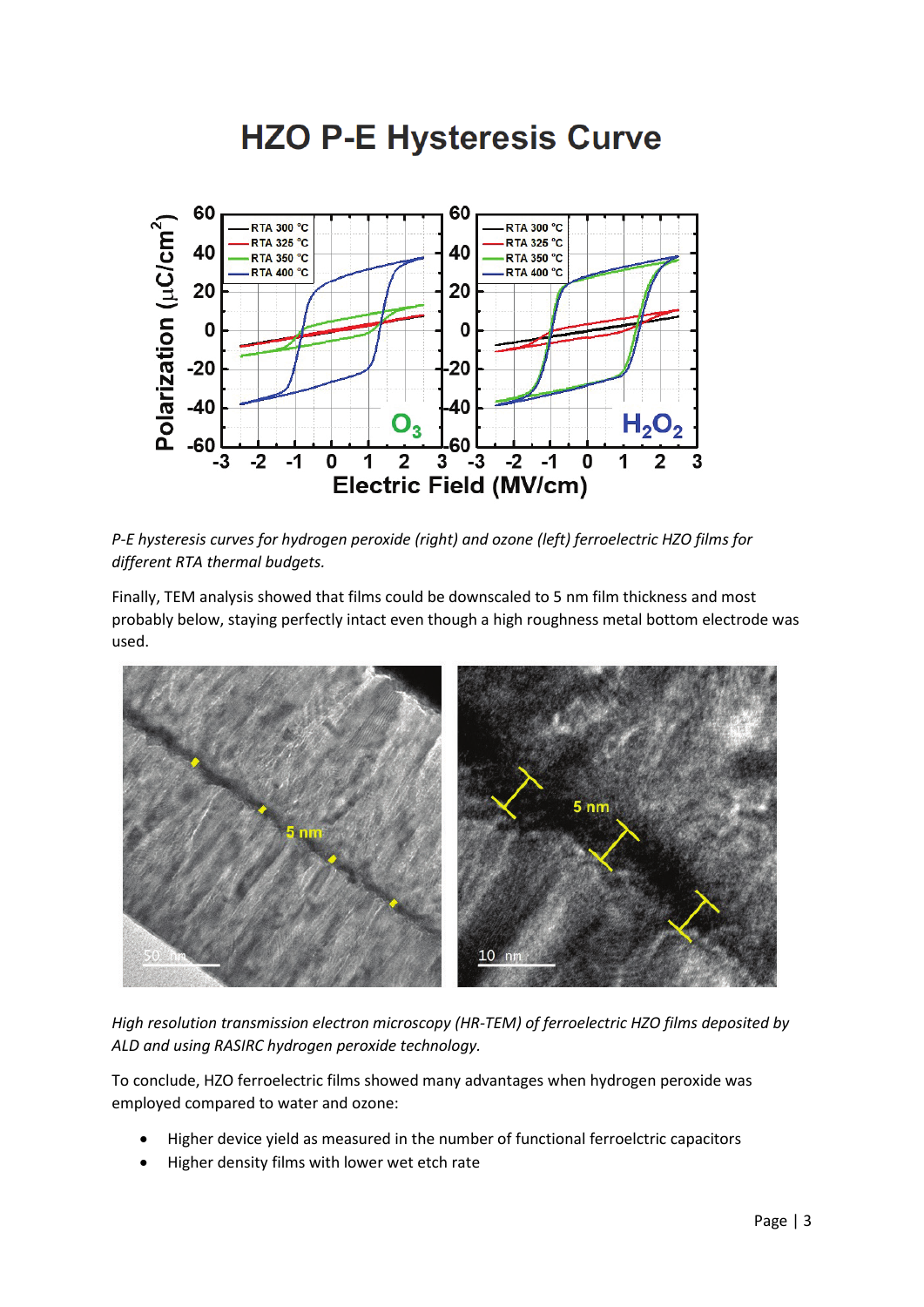## **HZO P-E Hysteresis Curve**



*P-E hysteresis curves for hydrogen peroxide (right) and ozone (left) ferroelectric HZO films for different RTA thermal budgets.*

Finally, TEM analysis showed that films could be downscaled to 5 nm film thickness and most probably below, staying perfectly intact even though a high roughness metal bottom electrode was used.



*High resolution transmission electron microscopy (HR-TEM) of ferroelectric HZO films deposited by ALD and using RASIRC hydrogen peroxide technology.*

To conclude, HZO ferroelectric films showed many advantages when hydrogen peroxide was employed compared to water and ozone:

- Higher device yield as measured in the number of functional ferroelctric capacitors
- Higher density films with lower wet etch rate